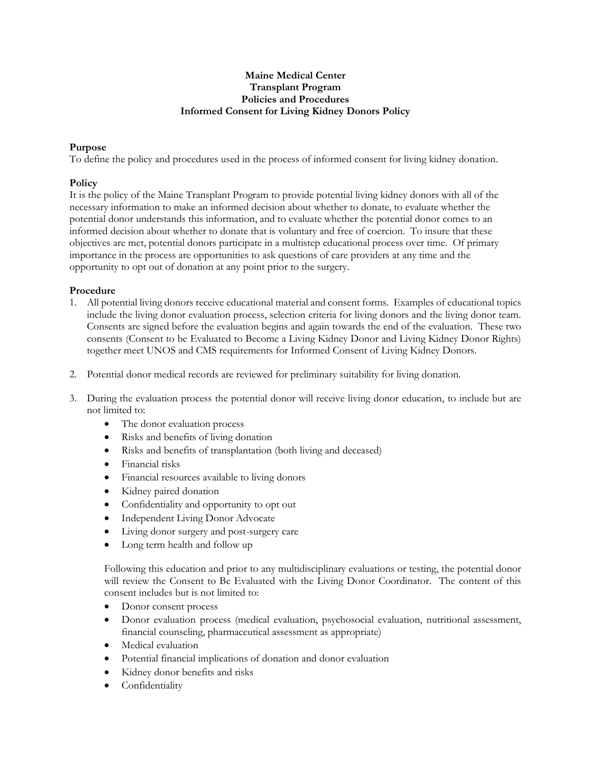## **Maine Medical Center Transplant Program Policies and Procedures Informed Consent for Living Kidney Donors Policy**

## **Purpose**

To define the policy and procedures used in the process of informed consent for living kidney donation.

## **Policy**

It is the policy of the Maine Transplant Program to provide potential living kidney donors with all of the necessary information to make an informed decision about whether to donate, to evaluate whether the potential donor understands this information, and to evaluate whether the potential donor comes to an informed decision about whether to donate that is voluntary and free of coercion. To insure that these objectives are met, potential donors participate in a multistep educational process over time. Of primary importance in the process are opportunities to ask questions of care providers at any time and the opportunity to opt out of donation at any point prior to the surgery.

## **Procedure**

- 1. All potential living donors receive educational material and consent forms. Examples of educational topics include the living donor evaluation process, selection criteria for living donors and the living donor team. Consents are signed before the evaluation begins and again towards the end of the evaluation. These two consents (Consent to be Evaluated to Become a Living Kidney Donor and Living Kidney Donor Rights) together meet UNOS and CMS requirements for Informed Consent of Living Kidney Donors.
- 2. Potential donor medical records are reviewed for preliminary suitability for living donation.
- 3. During the evaluation process the potential donor will receive living donor education, to include but are not limited to:
	- The donor evaluation process
	- Risks and benefits of living donation
	- Risks and benefits of transplantation (both living and deceased)
	- Financial risks
	- Financial resources available to living donors
	- Kidney paired donation
	- Confidentiality and opportunity to opt out
	- Independent Living Donor Advocate
	- Living donor surgery and post-surgery care
	- Long term health and follow up

Following this education and prior to any multidisciplinary evaluations or testing, the potential donor will review the Consent to Be Evaluated with the Living Donor Coordinator. The content of this consent includes but is not limited to:

- Donor consent process
- Donor evaluation process (medical evaluation, psychosocial evaluation, nutritional assessment, financial counseling, pharmaceutical assessment as appropriate)
- Medical evaluation
- Potential financial implications of donation and donor evaluation
- Kidney donor benefits and risks
- Confidentiality